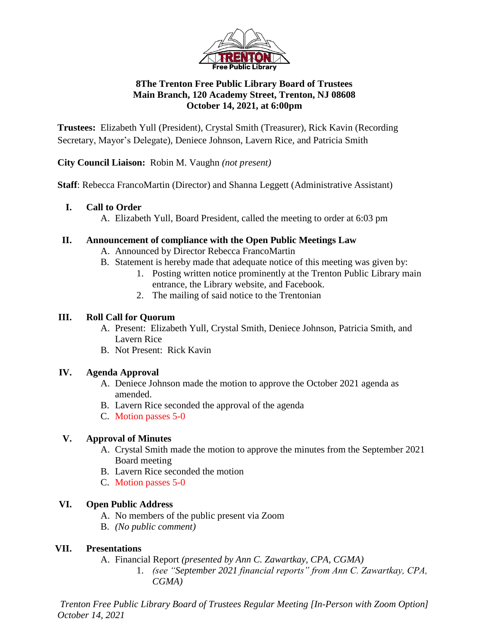

## **8The Trenton Free Public Library Board of Trustees Main Branch, 120 Academy Street, Trenton, NJ 08608 October 14, 2021, at 6:00pm**

**Trustees:** Elizabeth Yull (President), Crystal Smith (Treasurer), Rick Kavin (Recording Secretary, Mayor's Delegate), Deniece Johnson, Lavern Rice, and Patricia Smith

**City Council Liaison:** Robin M. Vaughn *(not present)*

**Staff**: Rebecca FrancoMartin (Director) and Shanna Leggett (Administrative Assistant)

### **I. Call to Order**

A. Elizabeth Yull, Board President, called the meeting to order at 6:03 pm

### **II. Announcement of compliance with the Open Public Meetings Law**

- A. Announced by Director Rebecca FrancoMartin
- B. Statement is hereby made that adequate notice of this meeting was given by:
	- 1. Posting written notice prominently at the Trenton Public Library main entrance, the Library website, and Facebook.
	- 2. The mailing of said notice to the Trentonian

### **III. Roll Call for Quorum**

- A. Present: Elizabeth Yull, Crystal Smith, Deniece Johnson, Patricia Smith, and Lavern Rice
- B. Not Present: Rick Kavin

# **IV. Agenda Approval**

- A. Deniece Johnson made the motion to approve the October 2021 agenda as amended.
- B. Lavern Rice seconded the approval of the agenda
- C. Motion passes 5-0

# **V. Approval of Minutes**

- A. Crystal Smith made the motion to approve the minutes from the September 2021 Board meeting
- B. Lavern Rice seconded the motion
- C. Motion passes 5-0

# **VI. Open Public Address**

- A. No members of the public present via Zoom
- B. *(No public comment)*

# **VII. Presentations**

A. Financial Report *(presented by Ann C. Zawartkay, CPA, CGMA)*

1. *(see "September 2021 financial reports" from Ann C. Zawartkay, CPA, CGMA)*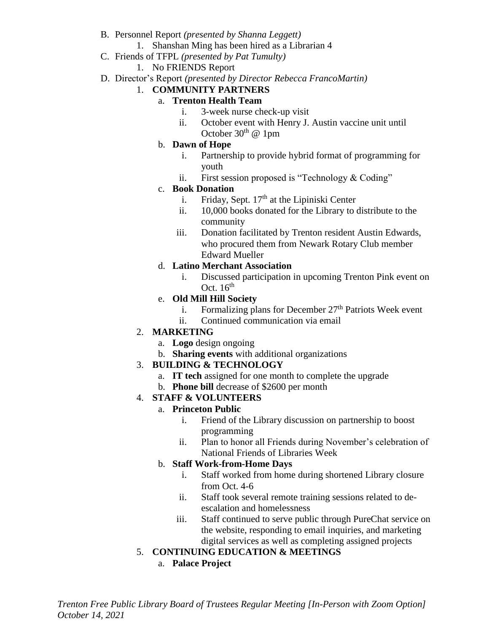- B. Personnel Report *(presented by Shanna Leggett)*
	- 1. Shanshan Ming has been hired as a Librarian 4
- C. Friends of TFPL *(presented by Pat Tumulty)*
	- 1. No FRIENDS Report
- D. Director's Report *(presented by Director Rebecca FrancoMartin)*

# 1. **COMMUNITY PARTNERS**

- a. **Trenton Health Team**
	- i. 3-week nurse check-up visit
	- ii. October event with Henry J. Austin vaccine unit until October  $30<sup>th</sup>$  @ 1pm
- b. **Dawn of Hope**
	- i. Partnership to provide hybrid format of programming for youth
	- ii. First session proposed is "Technology & Coding"

#### c. **Book Donation**

- i. Friday, Sept.  $17<sup>th</sup>$  at the Lipiniski Center
- ii. 10,000 books donated for the Library to distribute to the community
- iii. Donation facilitated by Trenton resident Austin Edwards, who procured them from Newark Rotary Club member Edward Mueller

## d. **Latino Merchant Association**

i. Discussed participation in upcoming Trenton Pink event on Oct.  $16<sup>th</sup>$ 

### e. **Old Mill Hill Society**

- i. Formalizing plans for December  $27<sup>th</sup>$  Patriots Week event
- ii. Continued communication via email

#### 2. **MARKETING**

- a. **Logo** design ongoing
- b. **Sharing events** with additional organizations

#### 3. **BUILDING & TECHNOLOGY**

- a. **IT tech** assigned for one month to complete the upgrade
- b. **Phone bill** decrease of \$2600 per month

#### 4. **STAFF & VOLUNTEERS**

#### a. **Princeton Public**

- i. Friend of the Library discussion on partnership to boost programming
- ii. Plan to honor all Friends during November's celebration of National Friends of Libraries Week

#### b. **Staff Work-from-Home Days**

- i. Staff worked from home during shortened Library closure from Oct. 4-6
- ii. Staff took several remote training sessions related to deescalation and homelessness
- iii. Staff continued to serve public through PureChat service on the website, responding to email inquiries, and marketing digital services as well as completing assigned projects
- 5. **CONTINUING EDUCATION & MEETINGS**
	- a. **Palace Project**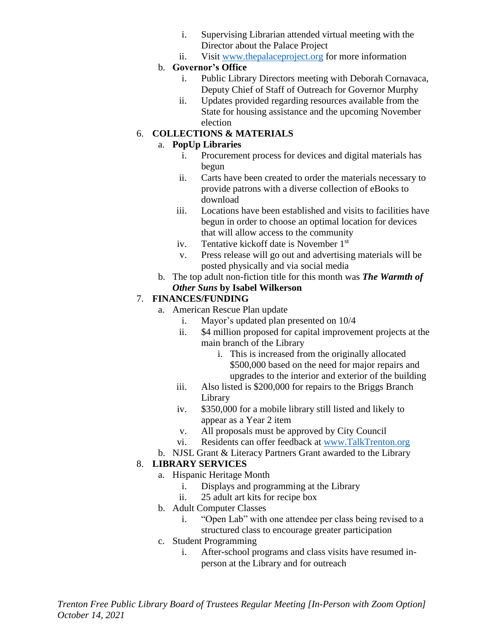- i. Supervising Librarian attended virtual meeting with the Director about the Palace Project
- ii. Visit [www.thepalaceproject.org](http://www.thepalaceproject.org/) for more information

# b. **Governor's Office**

- i. Public Library Directors meeting with Deborah Cornavaca, Deputy Chief of Staff of Outreach for Governor Murphy
- ii. Updates provided regarding resources available from the State for housing assistance and the upcoming November election

# 6. **COLLECTIONS & MATERIALS**

# a. **PopUp Libraries**

- i. Procurement process for devices and digital materials has begun
- ii. Carts have been created to order the materials necessary to provide patrons with a diverse collection of eBooks to download
- iii. Locations have been established and visits to facilities have begun in order to choose an optimal location for devices that will allow access to the community
- iv. Tentative kickoff date is November 1st
- v. Press release will go out and advertising materials will be posted physically and via social media
- b. The top adult non-fiction title for this month was *The Warmth of Other Suns* **by Isabel Wilkerson**

# 7. **FINANCES/FUNDING**

- a. American Rescue Plan update
	- i. Mayor's updated plan presented on 10/4
	- ii. \$4 million proposed for capital improvement projects at the main branch of the Library
		- i. This is increased from the originally allocated \$500,000 based on the need for major repairs and upgrades to the interior and exterior of the building
	- iii. Also listed is \$200,000 for repairs to the Briggs Branch Library
	- iv. \$350,000 for a mobile library still listed and likely to appear as a Year 2 item
	- v. All proposals must be approved by City Council
	- vi. Residents can offer feedback at [www.TalkTrenton.org](http://www.talktrenton.org/)
- b. NJSL Grant & Literacy Partners Grant awarded to the Library

# 8. **LIBRARY SERVICES**

- a. Hispanic Heritage Month
	- i. Displays and programming at the Library
	- ii. 25 adult art kits for recipe box
- b. Adult Computer Classes
	- i. "Open Lab" with one attendee per class being revised to a structured class to encourage greater participation
- c. Student Programming
	- i. After-school programs and class visits have resumed inperson at the Library and for outreach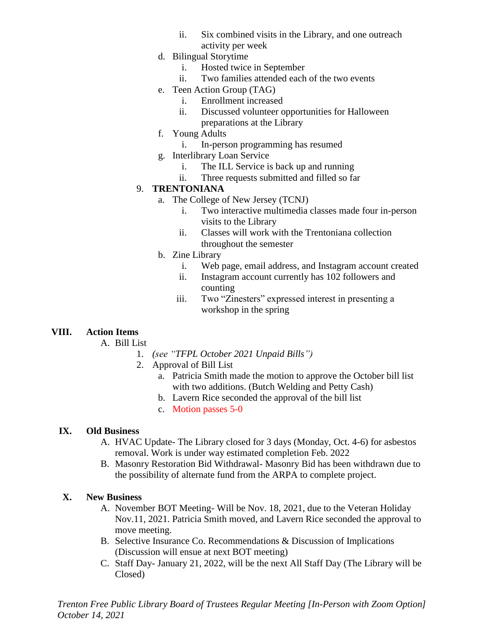- ii. Six combined visits in the Library, and one outreach activity per week
- d. Bilingual Storytime
	- i. Hosted twice in September
	- ii. Two families attended each of the two events
- e. Teen Action Group (TAG)
	- i. Enrollment increased
	- ii. Discussed volunteer opportunities for Halloween preparations at the Library
- f. Young Adults
	- i. In-person programming has resumed
- g. Interlibrary Loan Service
	- i. The ILL Service is back up and running
	- ii. Three requests submitted and filled so far

#### 9. **TRENTONIANA**

- a. The College of New Jersey (TCNJ)
	- i. Two interactive multimedia classes made four in-person visits to the Library
	- ii. Classes will work with the Trentoniana collection throughout the semester
- b. Zine Library
	- i. Web page, email address, and Instagram account created
	- ii. Instagram account currently has 102 followers and counting
	- iii. Two "Zinesters" expressed interest in presenting a workshop in the spring

# **VIII. Action Items**

A. Bill List

- 1. *(see "TFPL October 2021 Unpaid Bills")*
- 2. Approval of Bill List
	- a. Patricia Smith made the motion to approve the October bill list with two additions. (Butch Welding and Petty Cash)
	- b. Lavern Rice seconded the approval of the bill list
	- c. Motion passes 5-0

#### **IX. Old Business**

- A. HVAC Update- The Library closed for 3 days (Monday, Oct. 4-6) for asbestos removal. Work is under way estimated completion Feb. 2022
- B. Masonry Restoration Bid Withdrawal- Masonry Bid has been withdrawn due to the possibility of alternate fund from the ARPA to complete project.

#### **X. New Business**

- A. November BOT Meeting- Will be Nov. 18, 2021, due to the Veteran Holiday Nov.11, 2021. Patricia Smith moved, and Lavern Rice seconded the approval to move meeting.
- B. Selective Insurance Co. Recommendations & Discussion of Implications (Discussion will ensue at next BOT meeting)
- C. Staff Day- January 21, 2022, will be the next All Staff Day (The Library will be Closed)